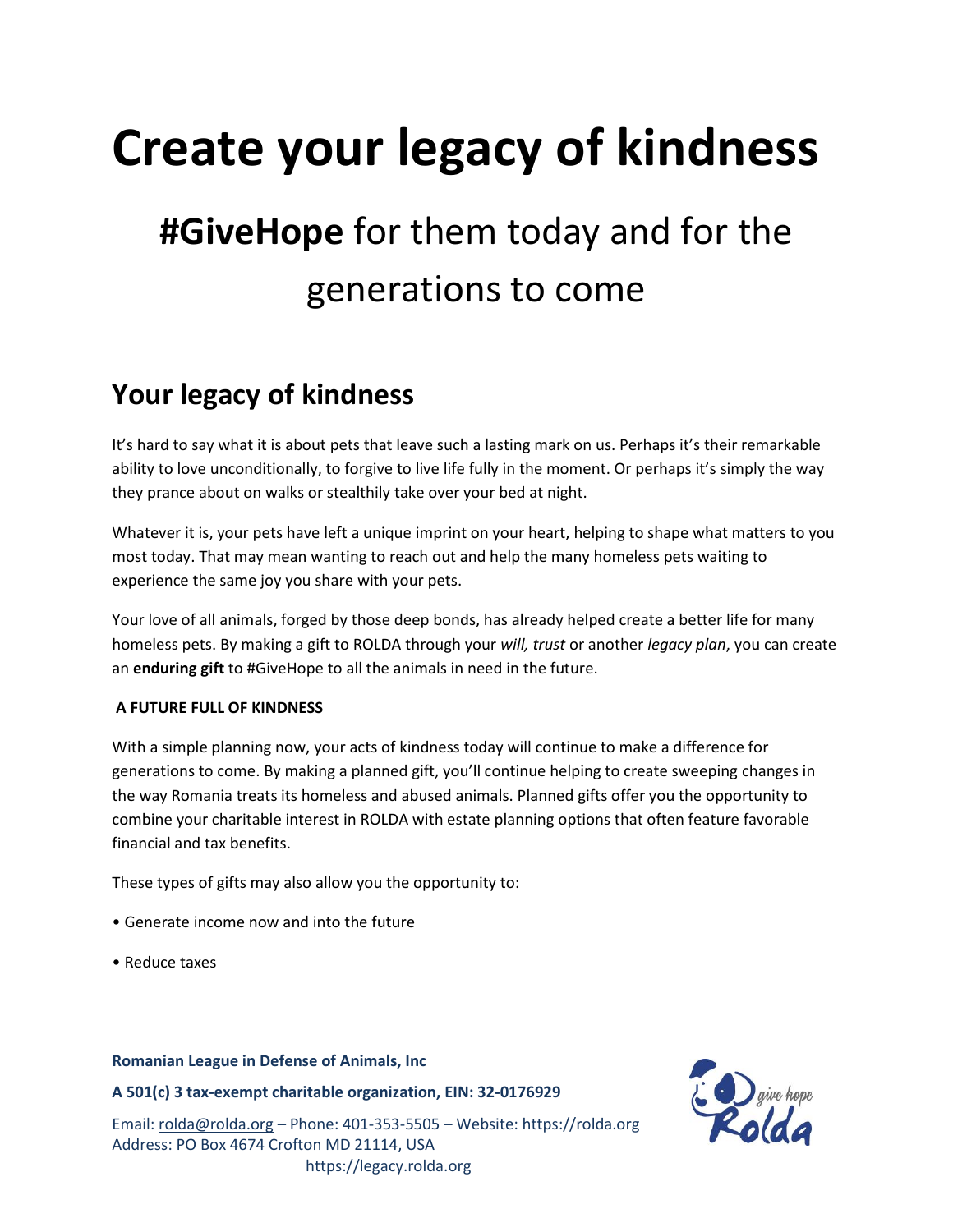# **Create your legacy of kindness**

# **#GiveHope** for them today and for the generations to come

## **Your legacy of kindness**

It's hard to say what it is about pets that leave such a lasting mark on us. Perhaps it's their remarkable ability to love unconditionally, to forgive to live life fully in the moment. Or perhaps it's simply the way they prance about on walks or stealthily take over your bed at night.

Whatever it is, your pets have left a unique imprint on your heart, helping to shape what matters to you most today. That may mean wanting to reach out and help the many homeless pets waiting to experience the same joy you share with your pets.

Your love of all animals, forged by those deep bonds, has already helped create a better life for many homeless pets. By making a gift to ROLDA through your *will, trust* or another *legacy plan*, you can create an **enduring gift** to #GiveHope to all the animals in need in the future.

#### **A FUTURE FULL OF KINDNESS**

With a simple planning now, your acts of kindness today will continue to make a difference for generations to come. By making a planned gift, you'll continue helping to create sweeping changes in the way Romania treats its homeless and abused animals. Planned gifts offer you the opportunity to combine your charitable interest in ROLDA with estate planning options that often feature favorable financial and tax benefits.

These types of gifts may also allow you the opportunity to:

- Generate income now and into the future
- Reduce taxes

#### **Romanian League in Defense of Animals, Inc**

**A 501(c) 3 tax-exempt charitable organization, EIN: 32-0176929**

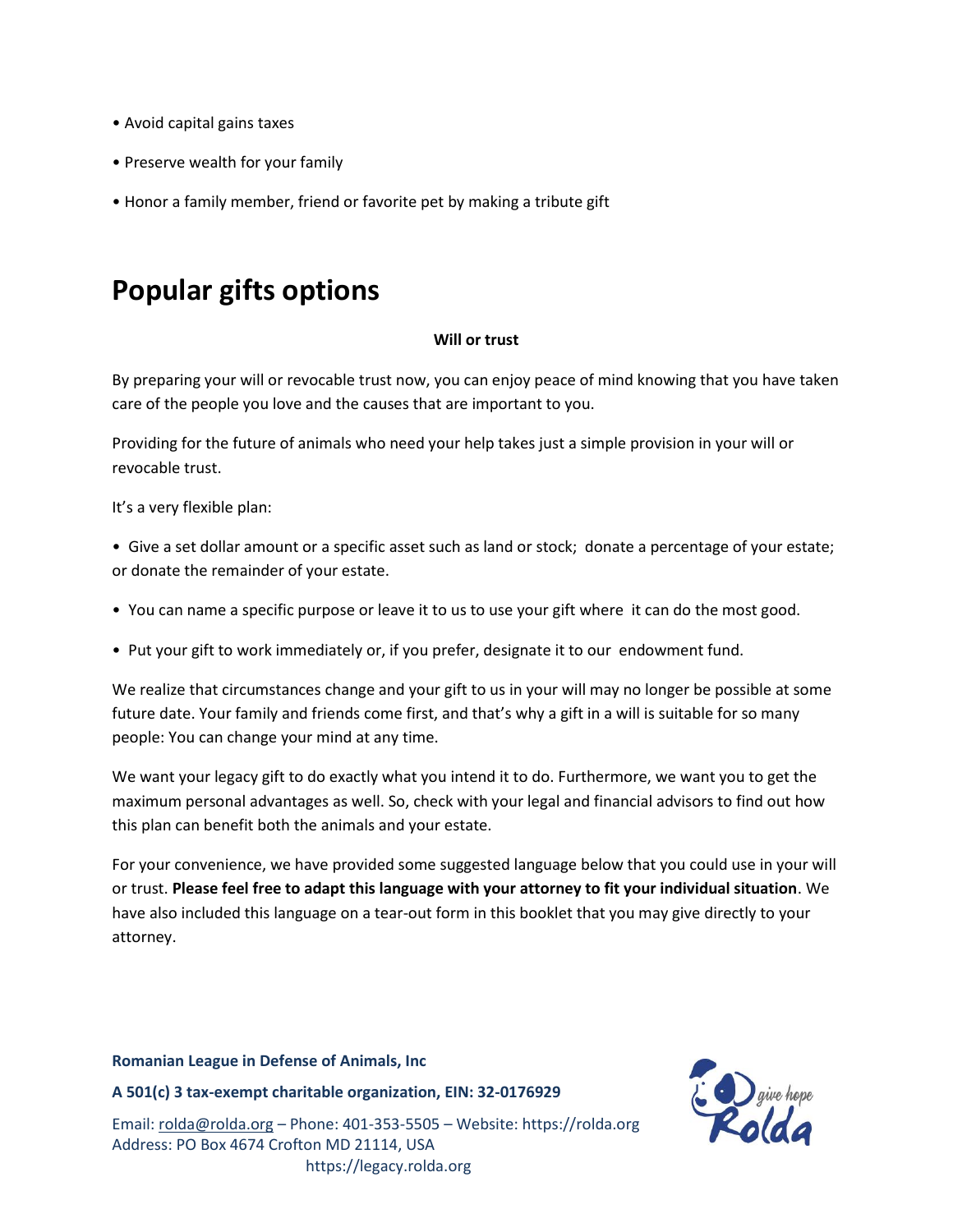- Avoid capital gains taxes
- Preserve wealth for your family
- Honor a family member, friend or favorite pet by making a tribute gift

### **Popular gifts options**

#### **Will or trust**

By preparing your will or revocable trust now, you can enjoy peace of mind knowing that you have taken care of the people you love and the causes that are important to you.

Providing for the future of animals who need your help takes just a simple provision in your will or revocable trust.

It's a very flexible plan:

- Give a set dollar amount or a specific asset such as land or stock; donate a percentage of your estate; or donate the remainder of your estate.
- You can name a specific purpose or leave it to us to use your gift where it can do the most good.
- Put your gift to work immediately or, if you prefer, designate it to our endowment fund.

We realize that circumstances change and your gift to us in your will may no longer be possible at some future date. Your family and friends come first, and that's why a gift in a will is suitable for so many people: You can change your mind at any time.

We want your legacy gift to do exactly what you intend it to do. Furthermore, we want you to get the maximum personal advantages as well. So, check with your legal and financial advisors to find out how this plan can benefit both the animals and your estate.

For your convenience, we have provided some suggested language below that you could use in your will or trust. **Please feel free to adapt this language with your attorney to fit your individual situation**. We have also included this language on a tear-out form in this booklet that you may give directly to your attorney.

#### **Romanian League in Defense of Animals, Inc**

**A 501(c) 3 tax-exempt charitable organization, EIN: 32-0176929**

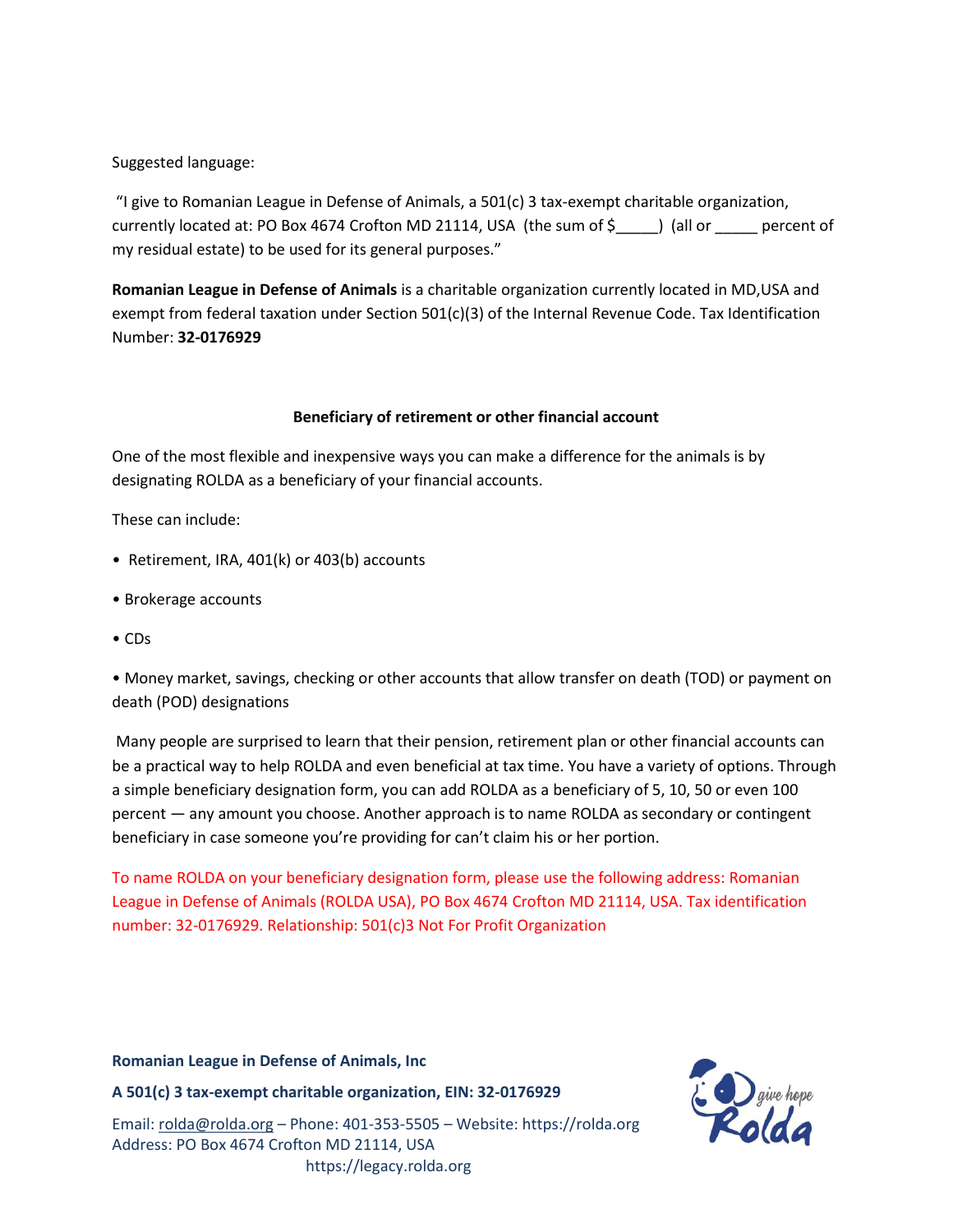#### Suggested language:

"I give to Romanian League in Defense of Animals, a 501(c) 3 tax-exempt charitable organization, currently located at: PO Box 4674 Crofton MD 21114, USA (the sum of \$) (all or percent of my residual estate) to be used for its general purposes."

**Romanian League in Defense of Animals** is a charitable organization currently located in MD,USA and exempt from federal taxation under Section 501(c)(3) of the Internal Revenue Code. Tax Identification Number: **32-0176929**

#### **Beneficiary of retirement or other financial account**

One of the most flexible and inexpensive ways you can make a difference for the animals is by designating ROLDA as a beneficiary of your financial accounts.

These can include:

- Retirement, IRA, 401(k) or 403(b) accounts
- Brokerage accounts
- CDs

• Money market, savings, checking or other accounts that allow transfer on death (TOD) or payment on death (POD) designations

Many people are surprised to learn that their pension, retirement plan or other financial accounts can be a practical way to help ROLDA and even beneficial at tax time. You have a variety of options. Through a simple beneficiary designation form, you can add ROLDA as a beneficiary of 5, 10, 50 or even 100 percent — any amount you choose. Another approach is to name ROLDA as secondary or contingent beneficiary in case someone you're providing for can't claim his or her portion.

To name ROLDA on your beneficiary designation form, please use the following address: Romanian League in Defense of Animals (ROLDA USA), PO Box 4674 Crofton MD 21114, USA. Tax identification number: 32-0176929. Relationship: 501(c)3 Not For Profit Organization

#### **Romanian League in Defense of Animals, Inc**

**A 501(c) 3 tax-exempt charitable organization, EIN: 32-0176929**

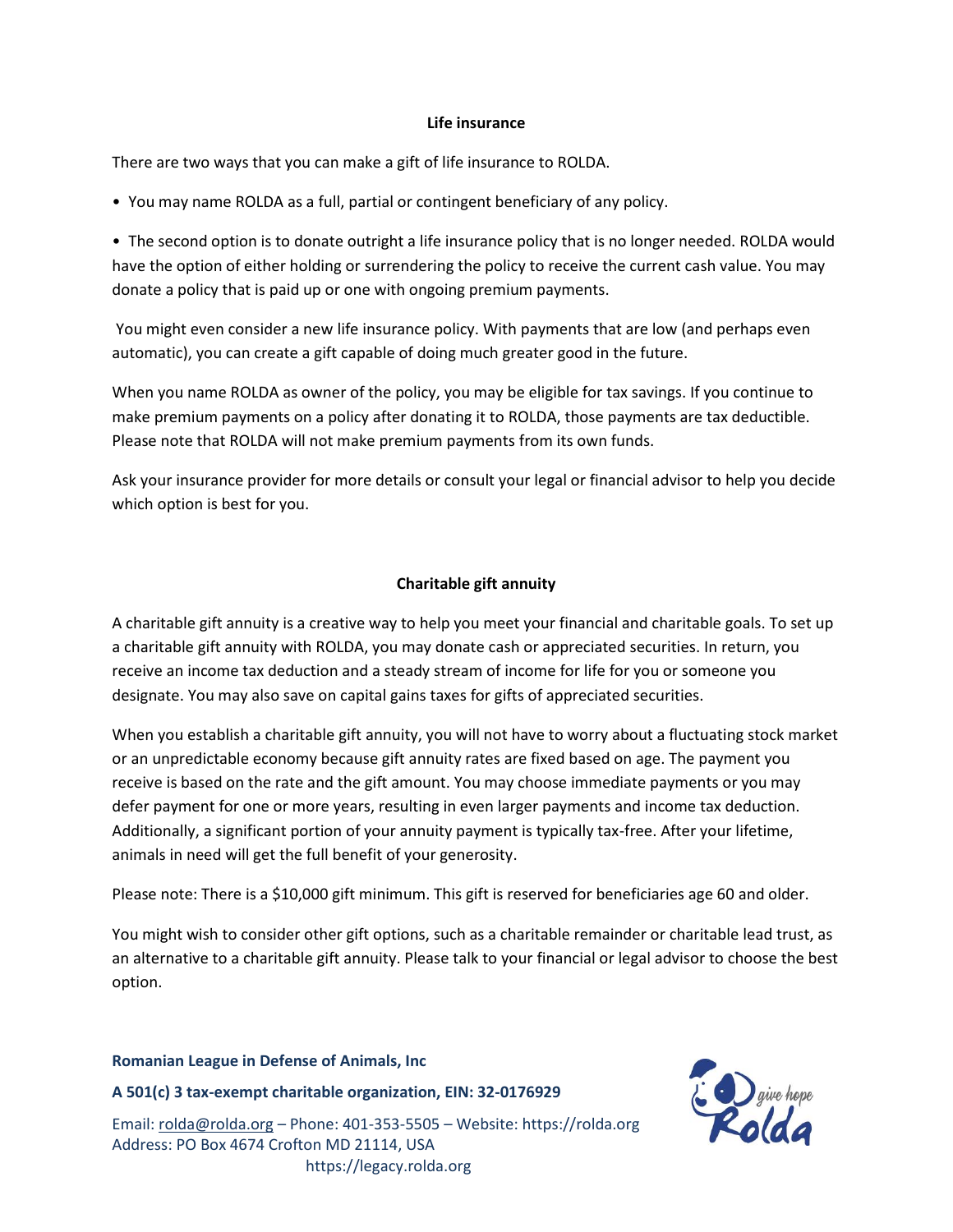#### **Life insurance**

There are two ways that you can make a gift of life insurance to ROLDA.

• You may name ROLDA as a full, partial or contingent beneficiary of any policy.

• The second option is to donate outright a life insurance policy that is no longer needed. ROLDA would have the option of either holding or surrendering the policy to receive the current cash value. You may donate a policy that is paid up or one with ongoing premium payments.

You might even consider a new life insurance policy. With payments that are low (and perhaps even automatic), you can create a gift capable of doing much greater good in the future.

When you name ROLDA as owner of the policy, you may be eligible for tax savings. If you continue to make premium payments on a policy after donating it to ROLDA, those payments are tax deductible. Please note that ROLDA will not make premium payments from its own funds.

Ask your insurance provider for more details or consult your legal or financial advisor to help you decide which option is best for you.

#### **Charitable gift annuity**

A charitable gift annuity is a creative way to help you meet your financial and charitable goals. To set up a charitable gift annuity with ROLDA, you may donate cash or appreciated securities. In return, you receive an income tax deduction and a steady stream of income for life for you or someone you designate. You may also save on capital gains taxes for gifts of appreciated securities.

When you establish a charitable gift annuity, you will not have to worry about a fluctuating stock market or an unpredictable economy because gift annuity rates are fixed based on age. The payment you receive is based on the rate and the gift amount. You may choose immediate payments or you may defer payment for one or more years, resulting in even larger payments and income tax deduction. Additionally, a significant portion of your annuity payment is typically tax-free. After your lifetime, animals in need will get the full benefit of your generosity.

Please note: There is a \$10,000 gift minimum. This gift is reserved for beneficiaries age 60 and older.

You might wish to consider other gift options, such as a charitable remainder or charitable lead trust, as an alternative to a charitable gift annuity. Please talk to your financial or legal advisor to choose the best option.

#### **Romanian League in Defense of Animals, Inc**

**A 501(c) 3 tax-exempt charitable organization, EIN: 32-0176929**

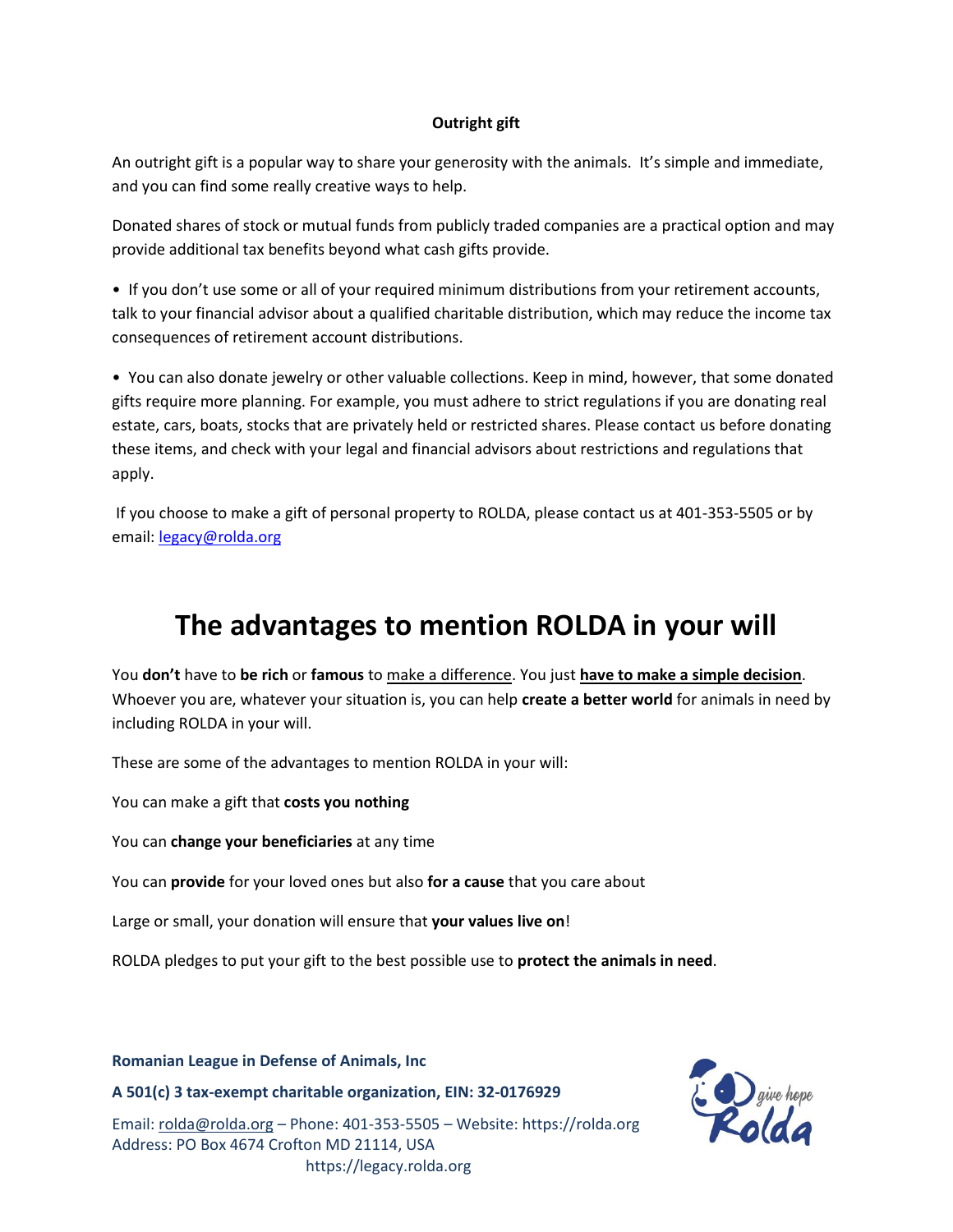#### **Outright gift**

An outright gift is a popular way to share your generosity with the animals. It's simple and immediate, and you can find some really creative ways to help.

Donated shares of stock or mutual funds from publicly traded companies are a practical option and may provide additional tax benefits beyond what cash gifts provide.

• If you don't use some or all of your required minimum distributions from your retirement accounts, talk to your financial advisor about a qualified charitable distribution, which may reduce the income tax consequences of retirement account distributions.

• You can also donate jewelry or other valuable collections. Keep in mind, however, that some donated gifts require more planning. For example, you must adhere to strict regulations if you are donating real estate, cars, boats, stocks that are privately held or restricted shares. Please contact us before donating these items, and check with your legal and financial advisors about restrictions and regulations that apply.

If you choose to make a gift of personal property to ROLDA, please contact us at 401-353-5505 or by email: [legacy@rolda.org](mailto:legacy@rolda.org)

### **The advantages to mention ROLDA in your will**

You **don't** have to **be rich** or **famous** to make a difference. You just **have to make a simple decision**. Whoever you are, whatever your situation is, you can help **create a better world** for animals in need by including ROLDA in your will.

These are some of the advantages to mention ROLDA in your will:

You can make a gift that **costs you nothing**

You can **change your beneficiaries** at any time

You can **provide** for your loved ones but also **for a cause** that you care about

Large or small, your donation will ensure that **your values live on**!

ROLDA pledges to put your gift to the best possible use to **protect the animals in need**.

**Romanian League in Defense of Animals, Inc** 

**A 501(c) 3 tax-exempt charitable organization, EIN: 32-0176929**

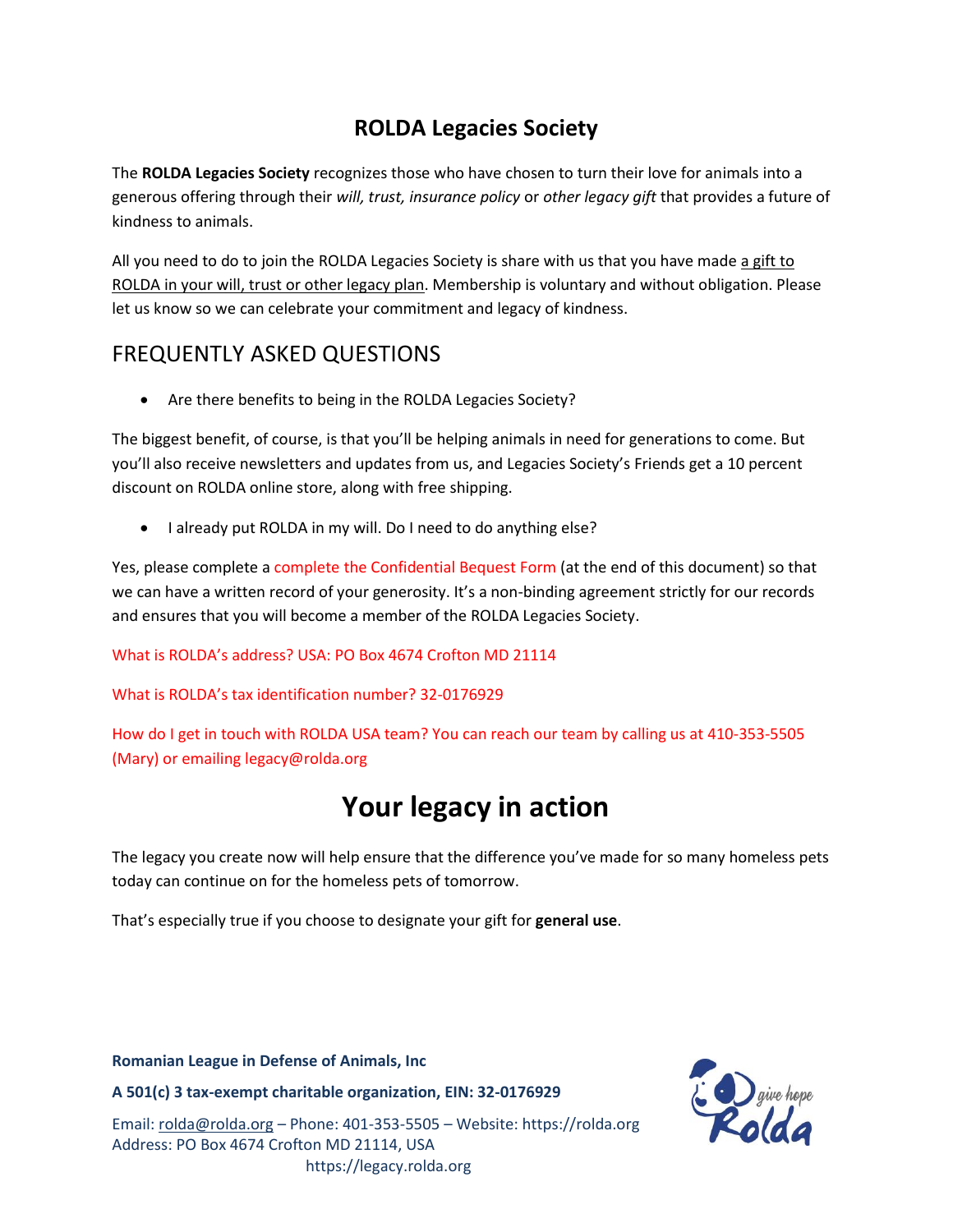### **ROLDA Legacies Society**

The **ROLDA Legacies Society** recognizes those who have chosen to turn their love for animals into a generous offering through their *will, trust, insurance policy* or *other legacy gift* that provides a future of kindness to animals.

All you need to do to join the ROLDA Legacies Society is share with us that you have made a gift to ROLDA in your will, trust or other legacy plan. Membership is voluntary and without obligation. Please let us know so we can celebrate your commitment and legacy of kindness.

### FREQUENTLY ASKED QUESTIONS

• Are there benefits to being in the ROLDA Legacies Society?

The biggest benefit, of course, is that you'll be helping animals in need for generations to come. But you'll also receive newsletters and updates from us, and Legacies Society's Friends get a 10 percent discount on ROLDA online store, along with free shipping.

• I already put ROLDA in my will. Do I need to do anything else?

Yes, please complete a complete the Confidential Bequest Form (at the end of this document) so that we can have a written record of your generosity. It's a non-binding agreement strictly for our records and ensures that you will become a member of the ROLDA Legacies Society.

#### What is ROLDA's address? USA: PO Box 4674 Crofton MD 21114

#### What is ROLDA's tax identification number? 32-0176929

How do I get in touch with ROLDA USA team? You can reach our team by calling us at 410-353-5505 (Mary) or emailing legacy@rolda.org

## **Your legacy in action**

The legacy you create now will help ensure that the difference you've made for so many homeless pets today can continue on for the homeless pets of tomorrow.

That's especially true if you choose to designate your gift for **general use**.

#### **Romanian League in Defense of Animals, Inc**

**A 501(c) 3 tax-exempt charitable organization, EIN: 32-0176929**

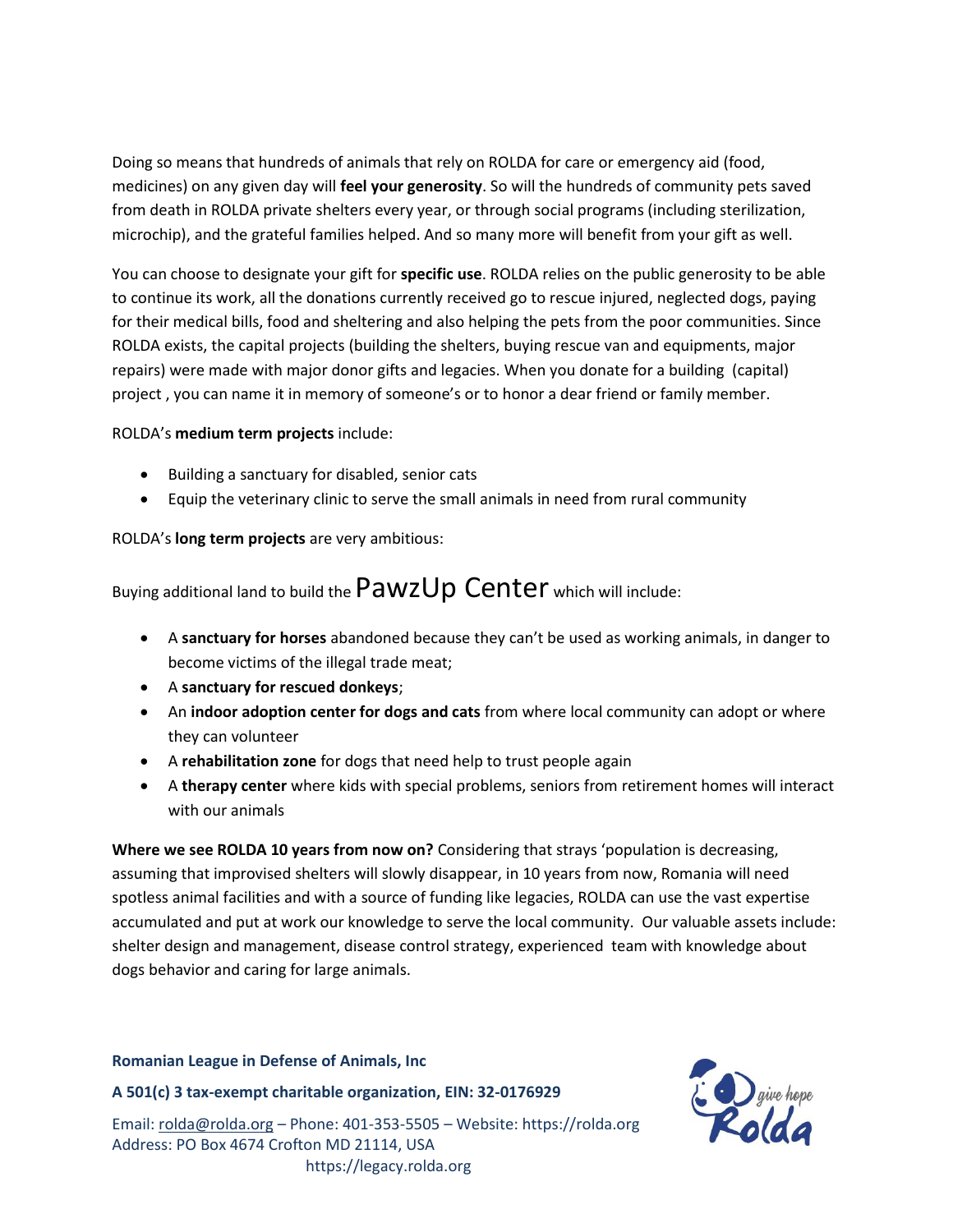Doing so means that hundreds of animals that rely on ROLDA for care or emergency aid (food, medicines) on any given day will **feel your generosity**. So will the hundreds of community pets saved from death in ROLDA private shelters every year, or through social programs (including sterilization, microchip), and the grateful families helped. And so many more will benefit from your gift as well.

You can choose to designate your gift for **specific use**. ROLDA relies on the public generosity to be able to continue its work, all the donations currently received go to rescue injured, neglected dogs, paying for their medical bills, food and sheltering and also helping the pets from the poor communities. Since ROLDA exists, the capital projects (building the shelters, buying rescue van and equipments, major repairs) were made with major donor gifts and legacies. When you donate for a building (capital) project , you can name it in memory of someone's or to honor a dear friend or family member.

#### ROLDA's **medium term projects** include:

- Building a sanctuary for disabled, senior cats
- Equip the veterinary clinic to serve the small animals in need from rural community

ROLDA's **long term projects** are very ambitious:

Buying additional land to build the  $\sf{PawzUp}$  Center which will include:

- A **sanctuary for horses** abandoned because they can't be used as working animals, in danger to become victims of the illegal trade meat;
- A **sanctuary for rescued donkeys**;
- An **indoor adoption center for dogs and cats** from where local community can adopt or where they can volunteer
- A **rehabilitation zone** for dogs that need help to trust people again
- A **therapy center** where kids with special problems, seniors from retirement homes will interact with our animals

**Where we see ROLDA 10 years from now on?** Considering that strays 'population is decreasing, assuming that improvised shelters will slowly disappear, in 10 years from now, Romania will need spotless animal facilities and with a source of funding like legacies, ROLDA can use the vast expertise accumulated and put at work our knowledge to serve the local community. Our valuable assets include: shelter design and management, disease control strategy, experienced team with knowledge about dogs behavior and caring for large animals.

#### **Romanian League in Defense of Animals, Inc**

**A 501(c) 3 tax-exempt charitable organization, EIN: 32-0176929**